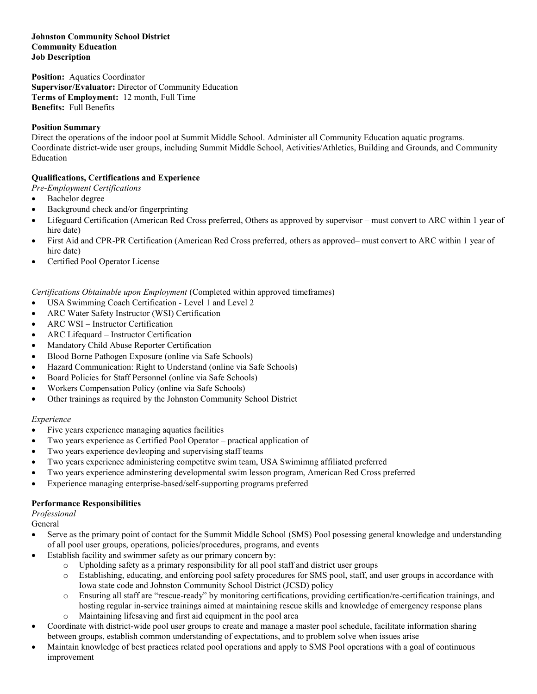### **Johnston Community School District Community Education Job Description**

**Position:** Aquatics Coordinator **Supervisor/Evaluator:** Director of Community Education **Terms of Employment:** 12 month, Full Time **Benefits:** Full Benefits

### **Position Summary**

Direct the operations of the indoor pool at Summit Middle School. Administer all Community Education aquatic programs. Coordinate district-wide user groups, including Summit Middle School, Activities/Athletics, Building and Grounds, and Community Education

### **Qualifications, Certifications and Experience**

- *Pre-Employment Certifications*
- Bachelor degree
- Background check and/or fingerprinting
- Lifeguard Certification (American Red Cross preferred, Others as approved by supervisor must convert to ARC within 1 year of hire date)
- First Aid and CPR-PR Certification (American Red Cross preferred, others as approved– must convert to ARC within 1 year of hire date)
- Certified Pool Operator License

*Certifications Obtainable upon Employment* (Completed within approved timeframes)

- USA Swimming Coach Certification Level 1 and Level 2
- ARC Water Safety Instructor (WSI) Certification
- ARC WSI Instructor Certification
- ARC Lifequard Instructor Certification
- Mandatory Child Abuse Reporter Certification
- Blood Borne Pathogen Exposure (online via Safe Schools)
- Hazard Communication: Right to Understand (online via Safe Schools)
- Board Policies for Staff Personnel (online via Safe Schools)
- Workers Compensation Policy (online via Safe Schools)
- Other trainings as required by the Johnston Community School District

### *Experience*

- Five years experience managing aquatics facilities
- Two years experience as Certified Pool Operator practical application of
- Two years experience devleoping and supervising staff teams
- Two years experience administering competitve swim team, USA Swimimng affiliated preferred
- Two years experience adminstering developmental swim lesson program, American Red Cross preferred
- Experience managing enterprise-based/self-supporting programs preferred

### **Performance Responsibilities**

*Professional*

General

- Serve as the primary point of contact for the Summit Middle School (SMS) Pool posessing general knowledge and understanding of all pool user groups, operations, policies/procedures, programs, and events
- Establish facility and swimmer safety as our primary concern by:
	- o Upholding safety as a primary responsibility for all pool staff and district user groups
	- o Establishing, educating, and enforcing pool safety procedures for SMS pool, staff, and user groups in accordance with Iowa state code and Johnston Community School District (JCSD) policy
	- o Ensuring all staff are "rescue-ready" by monitoring certifications, providing certification/re-certification trainings, and hosting regular in-service trainings aimed at maintaining rescue skills and knowledge of emergency response plans
	- o Maintaining lifesaving and first aid equipment in the pool area
- Coordinate with district-wide pool user groups to create and manage a master pool schedule, facilitate information sharing between groups, establish common understanding of expectations, and to problem solve when issues arise
- Maintain knowledge of best practices related pool operations and apply to SMS Pool operations with a goal of continuous improvement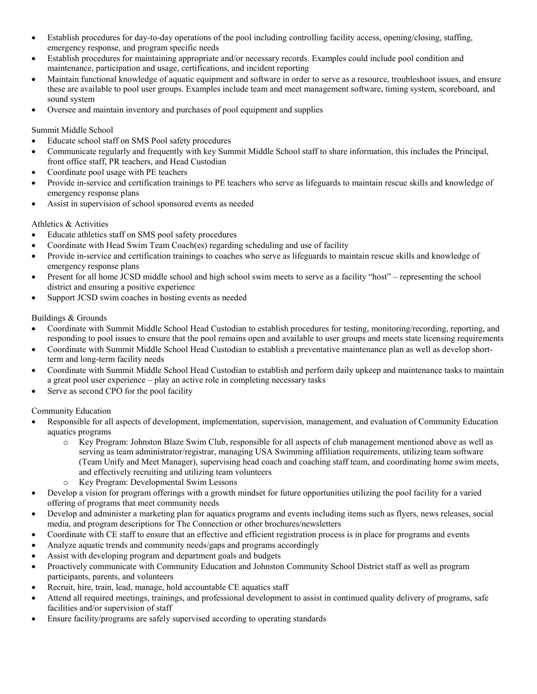- Establish procedures for day-to-day operations of the pool including controlling facility access, opening/closing, staffing, emergency response, and program specific needs
- Establish procedures for maintaining appropriate and/or necessary records. Examples could include pool condition and maintenance, participation and usage, certifications, and incident reporting
- Maintain functional knowledge of aquatic equipment and software in order to serve as a resource, troubleshoot issues, and ensure these are available to pool user groups. Examples include team and meet management software, timing system, scoreboard, and sound system
- Oversee and maintain inventory and purchases of pool equipment and supplies

## Summit Middle School

- Educate school staff on SMS Pool safety procedures
- Communicate regularly and frequently with key Summit Middle School staff to share information, this includes the Principal, front office staff, PR teachers, and Head Custodian
- Coordinate pool usage with PE teachers
- Provide in-service and certification trainings to PE teachers who serve as lifeguards to maintain rescue skills and knowledge of emergency response plans
- Assist in supervision of school sponsored events as needed

## Athletics & Activities

- Educate athletics staff on SMS pool safety procedures
- Coordinate with Head Swim Team Coach(es) regarding scheduling and use of facility
- Provide in-service and certification trainings to coaches who serve as lifeguards to maintain rescue skills and knowledge of emergency response plans
- Present for all home JCSD middle school and high school swim meets to serve as a facility "host" representing the school district and ensuring a positive experience
- Support JCSD swim coaches in hosting events as needed

## Buildings & Grounds

- Coordinate with Summit Middle School Head Custodian to establish procedures for testing, monitoring/recording, reporting, and responding to pool issues to ensure that the pool remains open and available to user groups and meets state licensing requirements
- Coordinate with Summit Middle School Head Custodian to establish a preventative maintenance plan as well as develop shortterm and long-term facility needs
- Coordinate with Summit Middle School Head Custodian to establish and perform daily upkeep and maintenance tasks to maintain a great pool user experience – play an active role in completing necessary tasks
- Serve as second CPO for the pool facility

### Community Education

- Responsible for all aspects of development, implementation, supervision, management, and evaluation of Community Education aquatics programs
	- o Key Program: Johnston Blaze Swim Club, responsible for all aspects of club management mentioned above as well as serving as team administrator/registrar, managing USA Swimming affiliation requirements, utilizing team software (Team Unify and Meet Manager), supervising head coach and coaching staff team, and coordinating home swim meets, and effectively recruiting and utilizing team volunteers
	- o Key Program: Developmental Swim Lessons
- Develop a vision for program offerings with a growth mindset for future opportunities utilizing the pool facility for a varied offering of programs that meet community needs
- Develop and administer a marketing plan for aquatics programs and events including items such as flyers, news releases, social media, and program descriptions for The Connection or other brochures/newsletters
- Coordinate with CE staff to ensure that an effective and efficient registration process is in place for programs and events
- Analyze aquatic trends and community needs/gaps and programs accordingly
- Assist with developing program and department goals and budgets
- Proactively communicate with Community Education and Johnston Community School District staff as well as program participants, parents, and volunteers
- Recruit, hire, train, lead, manage, hold accountable CE aquatics staff
- Attend all required meetings, trainings, and professional development to assist in continued quality delivery of programs, safe facilities and/or supervision of staff
- Ensure facility/programs are safely supervised according to operating standards